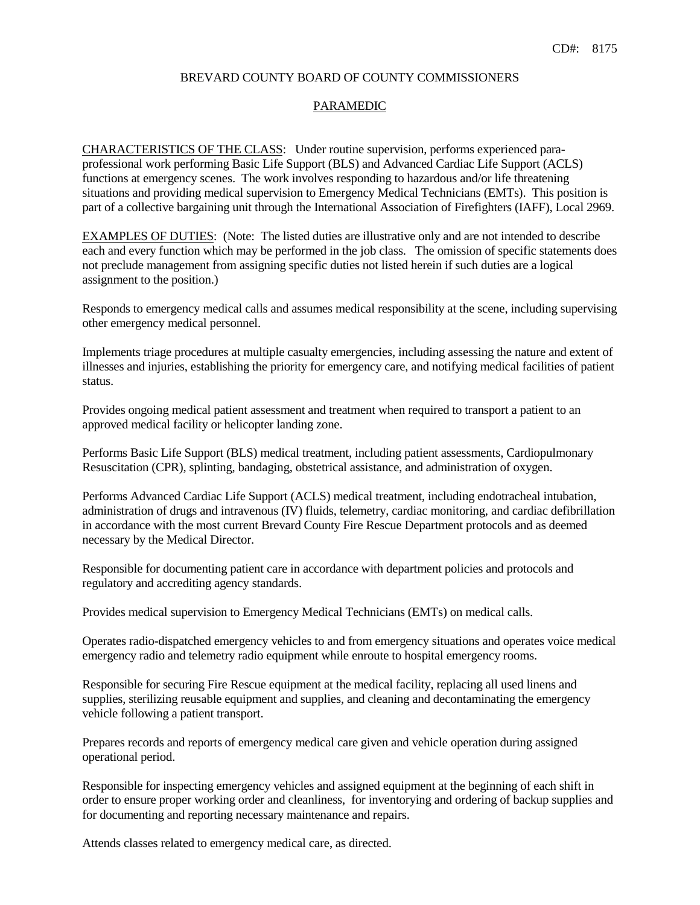#### BREVARD COUNTY BOARD OF COUNTY COMMISSIONERS

# PARAMEDIC

CHARACTERISTICS OF THE CLASS: Under routine supervision, performs experienced paraprofessional work performing Basic Life Support (BLS) and Advanced Cardiac Life Support (ACLS) functions at emergency scenes. The work involves responding to hazardous and/or life threatening situations and providing medical supervision to Emergency Medical Technicians (EMTs). This position is part of a collective bargaining unit through the International Association of Firefighters (IAFF), Local 2969.

EXAMPLES OF DUTIES: (Note: The listed duties are illustrative only and are not intended to describe each and every function which may be performed in the job class. The omission of specific statements does not preclude management from assigning specific duties not listed herein if such duties are a logical assignment to the position.)

Responds to emergency medical calls and assumes medical responsibility at the scene, including supervising other emergency medical personnel.

Implements triage procedures at multiple casualty emergencies, including assessing the nature and extent of illnesses and injuries, establishing the priority for emergency care, and notifying medical facilities of patient status.

Provides ongoing medical patient assessment and treatment when required to transport a patient to an approved medical facility or helicopter landing zone.

Performs Basic Life Support (BLS) medical treatment, including patient assessments, Cardiopulmonary Resuscitation (CPR), splinting, bandaging, obstetrical assistance, and administration of oxygen.

Performs Advanced Cardiac Life Support (ACLS) medical treatment, including endotracheal intubation, administration of drugs and intravenous (IV) fluids, telemetry, cardiac monitoring, and cardiac defibrillation in accordance with the most current Brevard County Fire Rescue Department protocols and as deemed necessary by the Medical Director.

Responsible for documenting patient care in accordance with department policies and protocols and regulatory and accrediting agency standards.

Provides medical supervision to Emergency Medical Technicians (EMTs) on medical calls.

Operates radio-dispatched emergency vehicles to and from emergency situations and operates voice medical emergency radio and telemetry radio equipment while enroute to hospital emergency rooms.

Responsible for securing Fire Rescue equipment at the medical facility, replacing all used linens and supplies, sterilizing reusable equipment and supplies, and cleaning and decontaminating the emergency vehicle following a patient transport.

Prepares records and reports of emergency medical care given and vehicle operation during assigned operational period.

Responsible for inspecting emergency vehicles and assigned equipment at the beginning of each shift in order to ensure proper working order and cleanliness, for inventorying and ordering of backup supplies and for documenting and reporting necessary maintenance and repairs.

Attends classes related to emergency medical care, as directed.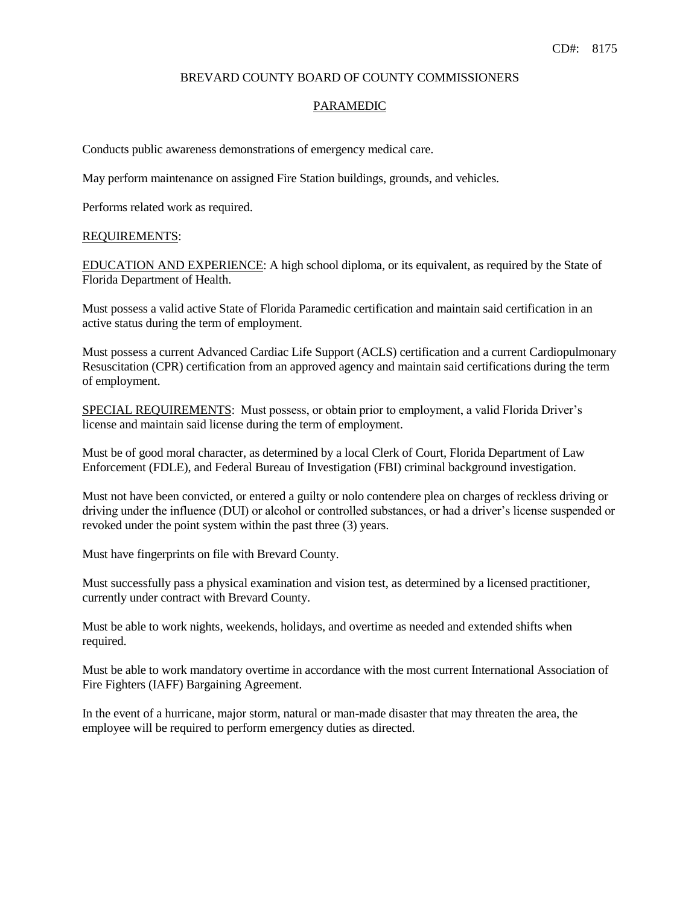#### BREVARD COUNTY BOARD OF COUNTY COMMISSIONERS

# PARAMEDIC

Conducts public awareness demonstrations of emergency medical care.

May perform maintenance on assigned Fire Station buildings, grounds, and vehicles.

Performs related work as required.

#### REQUIREMENTS:

EDUCATION AND EXPERIENCE: A high school diploma, or its equivalent, as required by the State of Florida Department of Health.

Must possess a valid active State of Florida Paramedic certification and maintain said certification in an active status during the term of employment.

Must possess a current Advanced Cardiac Life Support (ACLS) certification and a current Cardiopulmonary Resuscitation (CPR) certification from an approved agency and maintain said certifications during the term of employment.

SPECIAL REQUIREMENTS: Must possess, or obtain prior to employment, a valid Florida Driver's license and maintain said license during the term of employment.

Must be of good moral character, as determined by a local Clerk of Court, Florida Department of Law Enforcement (FDLE), and Federal Bureau of Investigation (FBI) criminal background investigation.

Must not have been convicted, or entered a guilty or nolo contendere plea on charges of reckless driving or driving under the influence (DUI) or alcohol or controlled substances, or had a driver's license suspended or revoked under the point system within the past three (3) years.

Must have fingerprints on file with Brevard County.

Must successfully pass a physical examination and vision test, as determined by a licensed practitioner, currently under contract with Brevard County.

Must be able to work nights, weekends, holidays, and overtime as needed and extended shifts when required.

Must be able to work mandatory overtime in accordance with the most current International Association of Fire Fighters (IAFF) Bargaining Agreement.

In the event of a hurricane, major storm, natural or man-made disaster that may threaten the area, the employee will be required to perform emergency duties as directed.